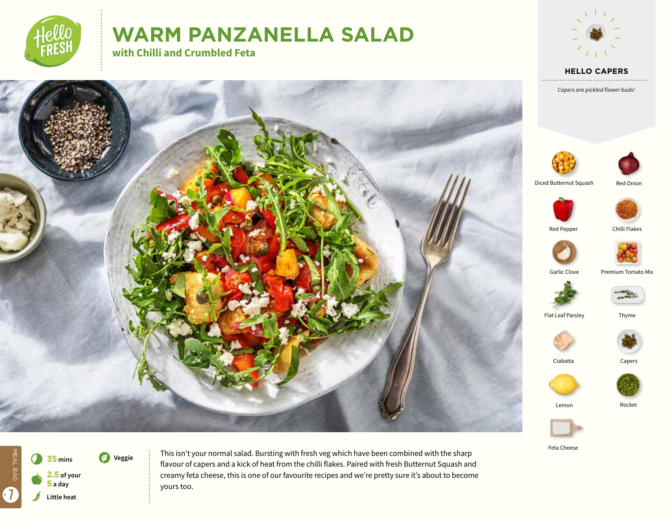

# **WARM PANZANELLA SALAD**

**with Chilli and Crumbled Feta**









Feta Cheese



This isn't your normal salad. Bursting with fresh veg which have been combined with the sharp flavour of capers and a kick of heat from the chilli flakes. Paired with fresh Butternut Squash and creamy feta cheese, this is one of our favourite recipes and we're pretty sure it's about to become yours too.

Garlic Clove

Premium Tomato Mix



Flat Leaf Parsley

Lemon